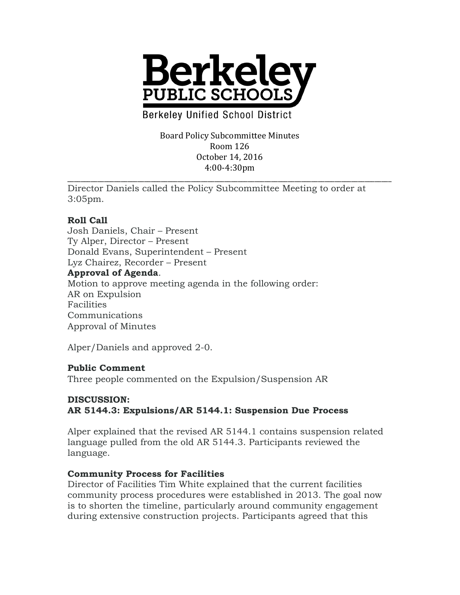

**Berkeley Unified School District** 

Board Policy Subcommittee Minutes Room 126 October 14, 2016 4:00-4:30pm

\_\_\_\_\_\_\_\_\_\_\_\_\_\_\_\_\_\_\_\_\_\_\_\_\_\_\_\_\_\_\_\_\_\_\_\_\_\_\_\_\_\_\_\_\_\_\_\_\_\_\_\_\_\_\_\_\_\_\_\_\_\_\_\_\_\_\_\_\_\_\_\_\_\_\_\_\_\_\_\_\_\_\_\_\_\_\_\_\_\_\_\_\_\_\_\_\_ Director Daniels called the Policy Subcommittee Meeting to order at 3:05pm.

### **Roll Call**

Josh Daniels, Chair – Present Ty Alper, Director – Present Donald Evans, Superintendent – Present Lyz Chairez, Recorder – Present **Approval of Agenda**. Motion to approve meeting agenda in the following order: AR on Expulsion Facilities Communications Approval of Minutes

Alper/Daniels and approved 2-0.

### **Public Comment**

Three people commented on the Expulsion/Suspension AR

# **DISCUSSION: AR 5144.3: Expulsions/AR 5144.1: Suspension Due Process**

Alper explained that the revised AR 5144.1 contains suspension related language pulled from the old AR 5144.3. Participants reviewed the language.

### **Community Process for Facilities**

Director of Facilities Tim White explained that the current facilities community process procedures were established in 2013. The goal now is to shorten the timeline, particularly around community engagement during extensive construction projects. Participants agreed that this